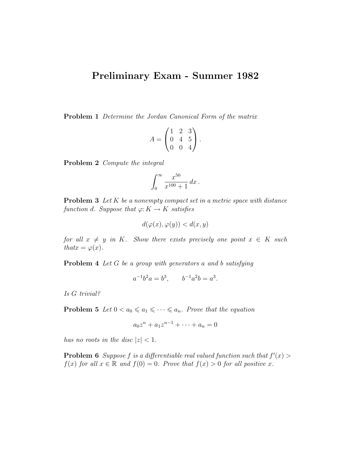## Preliminary Exam - Summer 1982

Problem 1 Determine the Jordan Canonical Form of the matrix

$$
A = \begin{pmatrix} 1 & 2 & 3 \\ 0 & 4 & 5 \\ 0 & 0 & 4 \end{pmatrix}.
$$

Problem 2 Compute the integral

$$
\int_0^\infty \frac{x^{50}}{x^{100} + 1} \, dx \, .
$$

**Problem 3** Let  $K$  be a nonempty compact set in a metric space with distance function d. Suppose that  $\varphi: K \to K$  satisfies

$$
d(\varphi(x), \varphi(y)) < d(x, y)
$$

for all  $x \neq y$  in K. Show there exists precisely one point  $x \in K$  such that  $x = \varphi(x)$ .

Problem 4 Let G be a group with generators a and b satisfying

$$
a^{-1}b^2a = b^3, \qquad b^{-1}a^2b = a^3.
$$

Is G trivial?

**Problem 5** Let  $0 < a_0 \leq a_1 \leq \cdots \leq a_n$ . Prove that the equation

$$
a_0 z^n + a_1 z^{n-1} + \dots + a_n = 0
$$

has no roots in the disc  $|z| < 1$ .

**Problem 6** Suppose f is a differentiable real valued function such that  $f'(x)$  $f(x)$  for all  $x \in \mathbb{R}$  and  $f(0) = 0$ . Prove that  $f(x) > 0$  for all positive x.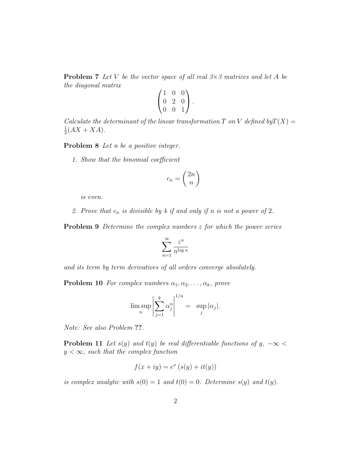**Problem 7** Let V be the vector space of all real  $3 \times 3$  matrices and let A be the diagonal matrix

|   | 0 | $\left( \right)$ |  |
|---|---|------------------|--|
| 0 | 2 | 0                |  |
| 0 | 0 |                  |  |

Calculate the determinant of the linear transformation T on V defined by  $T(X) =$ 1  $\frac{1}{2}(AX + XA).$ 

Problem 8 Let *n* be a positive integer.

1. Show that the binomial coefficient

$$
c_n = \binom{2n}{n}
$$

is even.

2. Prove that  $c_n$  is divisible by 4 if and only if n is not a power of 2.

**Problem 9** Determine the complex numbers z for which the power series

$$
\sum_{n=1}^{\infty} \frac{z^n}{n^{\log n}}
$$

and its term by term derivatives of all orders converge absolutely.

**Problem 10** For complex numbers  $\alpha_1, \alpha_2, \ldots, \alpha_k$ , prove

$$
\limsup_{n} \left| \sum_{j=1}^{k} \alpha_j^{n} \right|^{1/n} = \sup_{j} |\alpha_j|.
$$

Note: See also Problem ??.

**Problem 11** Let s(y) and t(y) be real differentiable functions of y,  $-\infty$  <  $y < \infty$ , such that the complex function

$$
f(x+iy) = e^x (s(y) + it(y))
$$

is complex analytic with  $s(0) = 1$  and  $t(0) = 0$ . Determine  $s(y)$  and  $t(y)$ .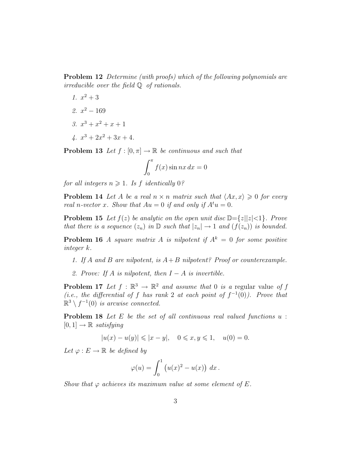Problem 12 Determine (with proofs) which of the following polynomials are irreducible over the field Q of rationals.

- 1.  $x^2 + 3$
- 2.  $x^2 169$
- 3.  $x^3 + x^2 + x + 1$
- $4. x<sup>3</sup> + 2x<sup>2</sup> + 3x + 4.$

**Problem 13** Let  $f : [0, \pi] \to \mathbb{R}$  be continuous and such that

$$
\int_0^\pi f(x)\sin nx\,dx = 0
$$

for all integers  $n \geqslant 1$ . Is f identically 0?

**Problem 14** Let A be a real  $n \times n$  matrix such that  $\langle Ax, x \rangle \geq 0$  for every real n-vector x. Show that  $Au = 0$  if and only if  $A^t u = 0$ .

**Problem 15** Let  $f(z)$  be analytic on the open unit disc  $\mathbb{D}=\{z||z|<1\}$ . Prove that there is a sequence  $(z_n)$  in  $\mathbb D$  such that  $|z_n| \to 1$  and  $(f(z_n))$  is bounded.

**Problem 16** A square matrix A is nilpotent if  $A^k = 0$  for some positive integer k.

- 1. If A and B are nilpotent, is  $A+B$  nilpotent? Proof or counterexample.
- 2. Prove: If A is nilpotent, then  $I A$  is invertible.

**Problem 17** Let  $f : \mathbb{R}^3 \to \mathbb{R}^2$  and assume that 0 is a regular value of f (*i.e.*, the differential of f has rank 2 at each point of  $f^{-1}(0)$ ). Prove that  $\mathbb{R}^3 \setminus f^{-1}(0)$  is arcwise connected.

**Problem 18** Let E be the set of all continuous real valued functions u:  $[0, 1] \rightarrow \mathbb{R}$  satisfying

$$
|u(x) - u(y)| \leq |x - y|, \quad 0 \leq x, y \leq 1, \quad u(0) = 0.
$$

Let  $\varphi : E \to \mathbb{R}$  be defined by

$$
\varphi(u) = \int_0^1 \left( u(x)^2 - u(x) \right) dx.
$$

Show that  $\varphi$  achieves its maximum value at some element of E.